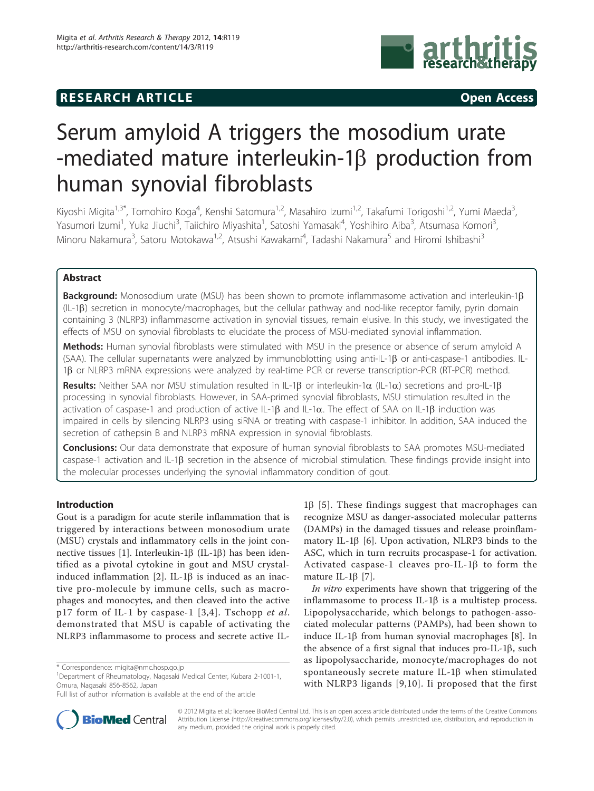## **RESEARCH ARTICLE Example 2014 CONSIDERING CONSIDERING CONSIDERING CONSIDERING CONSIDERING CONSIDERING CONSIDERING CONSIDERING CONSIDERING CONSIDERING CONSIDERING CONSIDERING CONSIDERING CONSIDERING CONSIDERING CONSIDE**



# Serum amyloid A triggers the mosodium urate -mediated mature interleukin-1 $\beta$  production from human synovial fibroblasts

Kiyoshi Migita<sup>1,3\*</sup>, Tomohiro Koga<sup>4</sup>, Kenshi Satomura<sup>1,2</sup>, Masahiro Izumi<sup>1,2</sup>, Takafumi Torigoshi<sup>1,2</sup>, Yumi Maeda<sup>3</sup> , Yasumori Izumi<sup>1</sup>, Yuka Jiuchi<sup>3</sup>, Taiichiro Miyashita<sup>1</sup>, Satoshi Yamasaki<sup>4</sup>, Yoshihiro Aiba<sup>3</sup>, Atsumasa Komori<sup>3</sup> , Minoru Nakamura<sup>3</sup>, Satoru Motokawa<sup>1,2</sup>, Atsushi Kawakami<sup>4</sup>, Tadashi Nakamura<sup>5</sup> and Hiromi Ishibashi<sup>3</sup>

## Abstract

Background: Monosodium urate (MSU) has been shown to promote inflammasome activation and interleukin-1 $\beta$ (IL-1b) secretion in monocyte/macrophages, but the cellular pathway and nod-like receptor family, pyrin domain containing 3 (NLRP3) inflammasome activation in synovial tissues, remain elusive. In this study, we investigated the effects of MSU on synovial fibroblasts to elucidate the process of MSU-mediated synovial inflammation.

Methods: Human synovial fibroblasts were stimulated with MSU in the presence or absence of serum amyloid A (SAA). The cellular supernatants were analyzed by immunoblotting using anti-IL-1 $\beta$  or anti-caspase-1 antibodies. IL-1β or NLRP3 mRNA expressions were analyzed by real-time PCR or reverse transcription-PCR (RT-PCR) method.

Results: Neither SAA nor MSU stimulation resulted in IL-1 $\beta$  or interleukin-1 $\alpha$  (IL-1 $\alpha$ ) secretions and pro-IL-1 $\beta$ processing in synovial fibroblasts. However, in SAA-primed synovial fibroblasts, MSU stimulation resulted in the activation of caspase-1 and production of active IL-1 $\beta$  and IL-1 $\alpha$ . The effect of SAA on IL-1 $\beta$  induction was impaired in cells by silencing NLRP3 using siRNA or treating with caspase-1 inhibitor. In addition, SAA induced the secretion of cathepsin B and NLRP3 mRNA expression in synovial fibroblasts.

**Conclusions:** Our data demonstrate that exposure of human synovial fibroblasts to SAA promotes MSU-mediated caspase-1 activation and IL-1 $\beta$  secretion in the absence of microbial stimulation. These findings provide insight into the molecular processes underlying the synovial inflammatory condition of gout.

## Introduction

Gout is a paradigm for acute sterile inflammation that is triggered by interactions between monosodium urate (MSU) crystals and inflammatory cells in the joint con-nective tissues [\[1\]](#page-6-0). Interleukin-1 $\beta$  (IL-1 $\beta$ ) has been identified as a pivotal cytokine in gout and MSU crystalinduced inflammation  $[2]$  $[2]$ . IL-1 $\beta$  is induced as an inactive pro-molecule by immune cells, such as macrophages and monocytes, and then cleaved into the active p17 form of IL-1 by caspase-1 [[3](#page-6-0),[4](#page-6-0)]. Tschopp et al. demonstrated that MSU is capable of activating the NLRP3 inflammasome to process and secrete active IL-

1 Department of Rheumatology, Nagasaki Medical Center, Kubara 2-1001-1, Omura, Nagasaki 856-8562, Japan

 $1\beta$  [[5\]](#page-6-0). These findings suggest that macrophages can recognize MSU as danger-associated molecular patterns (DAMPs) in the damaged tissues and release proinflammatory IL-1 $\beta$  [\[6](#page-6-0)]. Upon activation, NLRP3 binds to the ASC, which in turn recruits procaspase-1 for activation. Activated caspase-1 cleaves pro-IL-1 $\beta$  to form the mature IL-1 $\beta$  [[7\]](#page-6-0).

In vitro experiments have shown that triggering of the inflammasome to process IL-1 $\beta$  is a multistep process. Lipopolysaccharide, which belongs to pathogen-associated molecular patterns (PAMPs), had been shown to induce IL-1 $\beta$  from human synovial macrophages [[8](#page-6-0)]. In the absence of a first signal that induces pro-IL-1 $\beta$ , such as lipopolysaccharide, monocyte/macrophages do not spontaneously secrete mature IL-1 $\beta$  when stimulated with NLRP3 ligands [\[9,10\]](#page-6-0). Ii proposed that the first



© 2012 Migita et al.; licensee BioMed Central Ltd. This is an open access article distributed under the terms of the Creative Commons Attribution License [\(http://creativecommons.org/licenses/by/2.0](http://creativecommons.org/licenses/by/2.0)), which permits unrestricted use, distribution, and reproduction in any medium, provided the original work is properly cited.

<sup>\*</sup> Correspondence: [migita@nmc.hosp.go.jp](mailto:migita@nmc.hosp.go.jp)

Full list of author information is available at the end of the article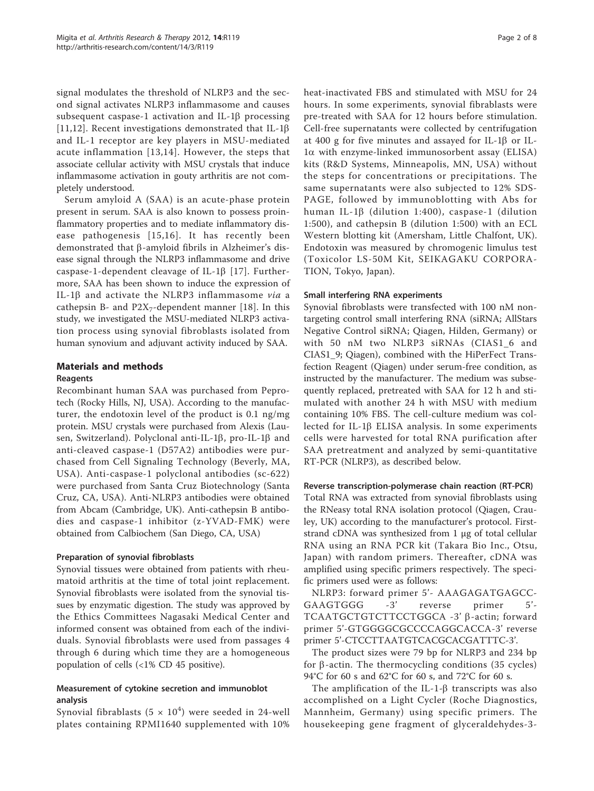signal modulates the threshold of NLRP3 and the second signal activates NLRP3 inflammasome and causes subsequent caspase-1 activation and IL-1 $\beta$  processing [[11](#page-6-0),[12\]](#page-6-0). Recent investigations demonstrated that IL-1 $\beta$ and IL-1 receptor are key players in MSU-mediated acute inflammation [[13](#page-6-0),[14](#page-6-0)]. However, the steps that associate cellular activity with MSU crystals that induce inflammasome activation in gouty arthritis are not completely understood.

Serum amyloid A (SAA) is an acute-phase protein present in serum. SAA is also known to possess proinflammatory properties and to mediate inflammatory disease pathogenesis [[15](#page-6-0),[16\]](#page-7-0). It has recently been demonstrated that  $\beta$ -amyloid fibrils in Alzheimer's disease signal through the NLRP3 inflammasome and drive caspase-1-dependent cleavage of IL-1 $\beta$  [[17\]](#page-7-0). Furthermore, SAA has been shown to induce the expression of IL-1 $\beta$  and activate the NLRP3 inflammasome via a cathepsin B- and  $P2X_7$ -dependent manner [[18\]](#page-7-0). In this study, we investigated the MSU-mediated NLRP3 activation process using synovial fibroblasts isolated from human synovium and adjuvant activity induced by SAA.

## Materials and methods

## Reagents

Recombinant human SAA was purchased from Peprotech (Rocky Hills, NJ, USA). According to the manufacturer, the endotoxin level of the product is 0.1 ng/mg protein. MSU crystals were purchased from Alexis (Lausen, Switzerland). Polyclonal anti-IL-1 $\beta$ , pro-IL-1 $\beta$  and anti-cleaved caspase-1 (D57A2) antibodies were purchased from Cell Signaling Technology (Beverly, MA, USA). Anti-caspase-1 polyclonal antibodies (sc-622) were purchased from Santa Cruz Biotechnology (Santa Cruz, CA, USA). Anti-NLRP3 antibodies were obtained from Abcam (Cambridge, UK). Anti-cathepsin B antibodies and caspase-1 inhibitor (z-YVAD-FMK) were obtained from Calbiochem (San Diego, CA, USA)

## Preparation of synovial fibroblasts

Synovial tissues were obtained from patients with rheumatoid arthritis at the time of total joint replacement. Synovial fibroblasts were isolated from the synovial tissues by enzymatic digestion. The study was approved by the Ethics Committees Nagasaki Medical Center and informed consent was obtained from each of the individuals. Synovial fibroblasts were used from passages 4 through 6 during which time they are a homogeneous population of cells (<1% CD 45 positive).

## Measurement of cytokine secretion and immunoblot analysis

Synovial fibrablasts  $(5 \times 10^4)$  were seeded in 24-well plates containing RPMI1640 supplemented with 10% heat-inactivated FBS and stimulated with MSU for 24 hours. In some experiments, synovial fibrablasts were pre-treated with SAA for 12 hours before stimulation. Cell-free supernatants were collected by centrifugation at 400 g for five minutes and assayed for IL-1 $\beta$  or IL-1a with enzyme-linked immunosorbent assay (ELISA) kits (R&D Systems, Minneapolis, MN, USA) without the steps for concentrations or precipitations. The same supernatants were also subjected to 12% SDS-PAGE, followed by immunoblotting with Abs for human IL-1b (dilution 1:400), caspase-1 (dilution 1:500), and cathepsin B (dilution 1:500) with an ECL Western blotting kit (Amersham, Little Chalfont, UK). Endotoxin was measured by chromogenic limulus test (Toxicolor LS-50M Kit, SEIKAGAKU CORPORA-TION, Tokyo, Japan).

## Small interfering RNA experiments

Synovial fibroblasts were transfected with 100 nM nontargeting control small interfering RNA (siRNA; AllStars Negative Control siRNA; Qiagen, Hilden, Germany) or with 50 nM two NLRP3 siRNAs (CIAS1\_6 and CIAS1\_9; Qiagen), combined with the HiPerFect Transfection Reagent (Qiagen) under serum-free condition, as instructed by the manufacturer. The medium was subsequently replaced, pretreated with SAA for 12 h and stimulated with another 24 h with MSU with medium containing 10% FBS. The cell-culture medium was collected for IL-1 $\beta$  ELISA analysis. In some experiments cells were harvested for total RNA purification after SAA pretreatment and analyzed by semi-quantitative RT-PCR (NLRP3), as described below.

#### Reverse transcription-polymerase chain reaction (RT-PCR)

Total RNA was extracted from synovial fibroblasts using the RNeasy total RNA isolation protocol (Qiagen, Crauley, UK) according to the manufacturer's protocol. Firststrand cDNA was synthesized from 1 μg of total cellular RNA using an RNA PCR kit (Takara Bio Inc., Otsu, Japan) with random primers. Thereafter, cDNA was amplified using specific primers respectively. The specific primers used were as follows:

NLRP3: forward primer 5'- AAAGAGATGAGCC-GAAGTGGG -3' reverse primer 5'- TCAATGCTGTCTTCCTGGCA -3' b-actin; forward primer 5'-GTGGGGCGCCCCAGGCACCA-3' reverse primer 5'-CTCCTTAATGTCACGCACGATTTC-3'.

The product sizes were 79 bp for NLRP3 and 234 bp for  $\beta$ -actin. The thermocycling conditions (35 cycles) 94°C for 60 s and 62°C for 60 s, and 72°C for 60 s.

The amplification of the IL-1- $\beta$  transcripts was also accomplished on a Light Cycler (Roche Diagnostics, Mannheim, Germany) using specific primers. The housekeeping gene fragment of glyceraldehydes-3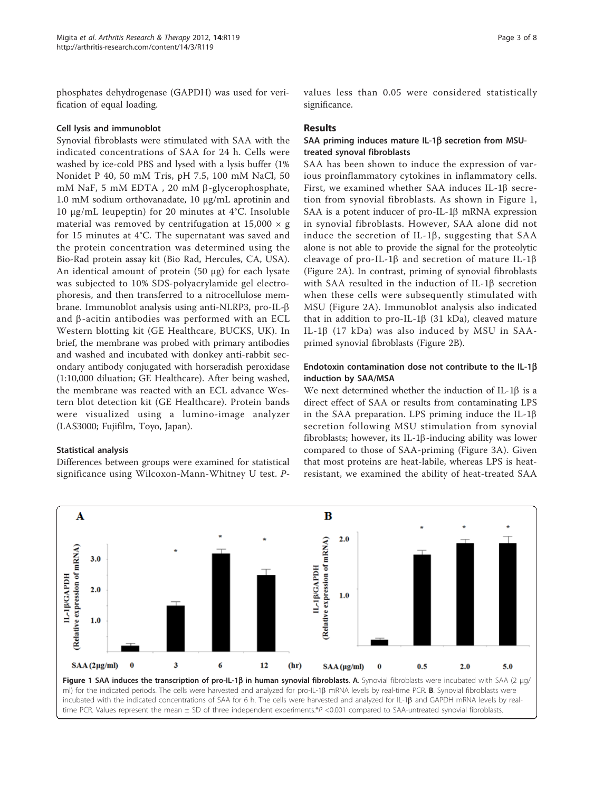phosphates dehydrogenase (GAPDH) was used for verification of equal loading.

#### Cell lysis and immunoblot

Synovial fibroblasts were stimulated with SAA with the indicated concentrations of SAA for 24 h. Cells were washed by ice-cold PBS and lysed with a lysis buffer (1% Nonidet P 40, 50 mM Tris, pH 7.5, 100 mM NaCl, 50 mM NaF, 5 mM EDTA, 20 mM  $\beta$ -glycerophosphate, 1.0 mM sodium orthovanadate, 10 μg/mL aprotinin and 10 μg/mL leupeptin) for 20 minutes at 4°C. Insoluble material was removed by centrifugation at  $15,000 \times g$ for 15 minutes at 4°C. The supernatant was saved and the protein concentration was determined using the Bio-Rad protein assay kit (Bio Rad, Hercules, CA, USA). An identical amount of protein (50 μg) for each lysate was subjected to 10% SDS-polyacrylamide gel electrophoresis, and then transferred to a nitrocellulose membrane. Immunoblot analysis using anti-NLRP3, pro-IL-b and  $\beta$ -acitin antibodies was performed with an ECL Western blotting kit (GE Healthcare, BUCKS, UK). In brief, the membrane was probed with primary antibodies and washed and incubated with donkey anti-rabbit secondary antibody conjugated with horseradish peroxidase (1:10,000 diluation; GE Healthcare). After being washed, the membrane was reacted with an ECL advance Western blot detection kit (GE Healthcare). Protein bands were visualized using a lumino-image analyzer (LAS3000; Fujifilm, Toyo, Japan).

#### Statistical analysis

Differences between groups were examined for statistical significance using Wilcoxon-Mann-Whitney U test. P- values less than 0.05 were considered statistically significance.

#### Results

## SAA priming induces mature IL-1 $\beta$  secretion from MSUtreated synoval fibroblasts

SAA has been shown to induce the expression of various proinflammatory cytokines in inflammatory cells. First, we examined whether SAA induces IL-1 $\beta$  secretion from synovial fibroblasts. As shown in Figure 1, SAA is a potent inducer of pro-IL-1 $\beta$  mRNA expression in synovial fibroblasts. However, SAA alone did not induce the secretion of IL-1 $\beta$ , suggesting that SAA alone is not able to provide the signal for the proteolytic cleavage of pro-IL-1 $\beta$  and secretion of mature IL-1 $\beta$ (Figure [2A\)](#page-3-0). In contrast, priming of synovial fibroblasts with SAA resulted in the induction of IL-1 $\beta$  secretion when these cells were subsequently stimulated with MSU (Figure [2A](#page-3-0)). Immunoblot analysis also indicated that in addition to pro-IL-1 $\beta$  (31 kDa), cleaved mature IL-1 $\beta$  (17 kDa) was also induced by MSU in SAAprimed synovial fibroblasts (Figure [2B\)](#page-3-0).

## Endotoxin contamination dose not contribute to the IL-1b induction by SAA/MSA

We next determined whether the induction of IL-1 $\beta$  is a direct effect of SAA or results from contaminating LPS in the SAA preparation. LPS priming induce the IL-1 $\beta$ secretion following MSU stimulation from synovial fibroblasts; however, its IL-1 $\beta$ -inducing ability was lower compared to those of SAA-priming (Figure [3A\)](#page-4-0). Given that most proteins are heat-labile, whereas LPS is heatresistant, we examined the ability of heat-treated SAA

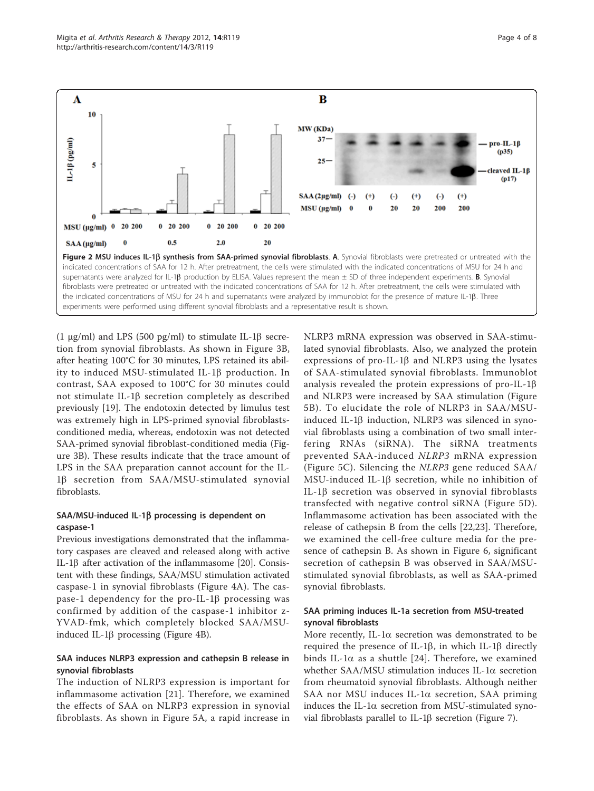<span id="page-3-0"></span>

(1 μg/ml) and LPS (500 pg/ml) to stimulate IL-1β secretion from synovial fibroblasts. As shown in Figure [3B](#page-4-0), after heating 100°C for 30 minutes, LPS retained its ability to induced MSU-stimulated IL-1 $\beta$  production. In contrast, SAA exposed to 100°C for 30 minutes could not stimulate IL-1 $\beta$  secretion completely as described previously [[19\]](#page-7-0). The endotoxin detected by limulus test was extremely high in LPS-primed synovial fibroblastsconditioned media, whereas, endotoxin was not detected SAA-primed synovial fibroblast-conditioned media (Figure [3B](#page-4-0)). These results indicate that the trace amount of LPS in the SAA preparation cannot account for the IL-1b secretion from SAA/MSU-stimulated synovial fibroblasts.

## SAA/MSU-induced IL-1β processing is dependent on caspase-1

Previous investigations demonstrated that the inflammatory caspases are cleaved and released along with active IL-1 $\beta$  after activation of the inflammasome [\[20](#page-7-0)]. Consistent with these findings, SAA/MSU stimulation activated caspase-1 in synovial fibroblasts (Figure [4A](#page-4-0)). The caspase-1 dependency for the pro-IL-1 $\beta$  processing was confirmed by addition of the caspase-1 inhibitor z-YVAD-fmk, which completely blocked SAA/MSUinduced IL-1 $\beta$  processing (Figure [4B\)](#page-4-0).

## SAA induces NLRP3 expression and cathepsin B release in synovial fibroblasts

The induction of NLRP3 expression is important for inflammasome activation [\[21](#page-7-0)]. Therefore, we examined the effects of SAA on NLRP3 expression in synovial fibroblasts. As shown in Figure [5A,](#page-5-0) a rapid increase in NLRP3 mRNA expression was observed in SAA-stimulated synovial fibroblasts. Also, we analyzed the protein expressions of pro-IL-1 $\beta$  and NLRP3 using the lysates of SAA-stimulated synovial fibroblasts. Immunoblot analysis revealed the protein expressions of pro-IL-1b and NLRP3 were increased by SAA stimulation (Figure [5B](#page-5-0)). To elucidate the role of NLRP3 in SAA/MSUinduced IL-1 $\beta$  induction, NLRP3 was silenced in synovial fibroblasts using a combination of two small interfering RNAs (siRNA). The siRNA treatments prevented SAA-induced NLRP3 mRNA expression (Figure [5C](#page-5-0)). Silencing the NLRP3 gene reduced SAA/ MSU-induced IL-1b secretion, while no inhibition of IL-1 $\beta$  secretion was observed in synovial fibroblasts transfected with negative control siRNA (Figure [5D\)](#page-5-0). Inflammasome activation has been associated with the release of cathepsin B from the cells [\[22](#page-7-0),[23\]](#page-7-0). Therefore, we examined the cell-free culture media for the presence of cathepsin B. As shown in Figure [6,](#page-5-0) significant secretion of cathepsin B was observed in SAA/MSUstimulated synovial fibroblasts, as well as SAA-primed synovial fibroblasts.

## SAA priming induces IL-1a secretion from MSU-treated synoval fibroblasts

More recently, IL-1 $\alpha$  secretion was demonstrated to be required the presence of IL-1 $\beta$ , in which IL-1 $\beta$  directly binds IL-1 $\alpha$  as a shuttle [\[24\]](#page-7-0). Therefore, we examined whether  $SAA/MSU$  stimulation induces IL-1 $\alpha$  secretion from rheumatoid synovial fibroblasts. Although neither SAA nor MSU induces IL-1a secretion, SAA priming induces the IL-1 $\alpha$  secretion from MSU-stimulated synovial fibroblasts parallel to IL-1 $\beta$  secretion (Figure [7\)](#page-6-0).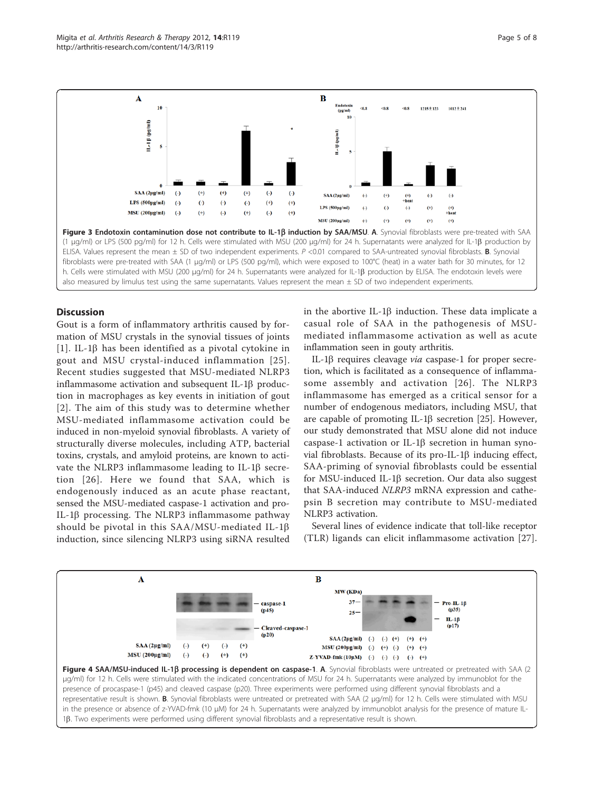Gout is a form of inflammatory arthritis caused by formation of MSU crystals in the synovial tissues of joints [[1](#page-6-0)]. IL-1 $\beta$  has been identified as a pivotal cytokine in gout and MSU crystal-induced inflammation [[25\]](#page-7-0). Recent studies suggested that MSU-mediated NLRP3 inflammasome activation and subsequent IL-1 $\beta$  production in macrophages as key events in initiation of gout [[2](#page-6-0)]. The aim of this study was to determine whether MSU-mediated inflammasome activation could be induced in non-myeloid synovial fibroblasts. A variety of structurally diverse molecules, including ATP, bacterial toxins, crystals, and amyloid proteins, are known to activate the NLRP3 inflammasome leading to IL-1 $\beta$  secretion [[26\]](#page-7-0). Here we found that SAA, which is endogenously induced as an acute phase reactant, in the abortive IL-1 $\beta$  induction. These data implicate a casual role of SAA in the pathogenesis of MSUmediated inflammasome activation as well as acute inflammation seen in gouty arthritis.

IL-1 $\beta$  requires cleavage via caspase-1 for proper secretion, which is facilitated as a consequence of inflammasome assembly and activation [\[26](#page-7-0)]. The NLRP3 inflammasome has emerged as a critical sensor for a number of endogenous mediators, including MSU, that are capable of promoting IL-1 $\beta$  secretion [\[25](#page-7-0)]. However, our study demonstrated that MSU alone did not induce caspase-1 activation or IL-1 $\beta$  secretion in human synovial fibroblasts. Because of its  $pro-IL-1\beta$  inducing effect, SAA-priming of synovial fibroblasts could be essential for MSU-induced IL-1 $\beta$  secretion. Our data also suggest that SAA-induced NLRP3 mRNA expression and cathepsin B secretion may contribute to MSU-mediated

Several lines of evidence indicate that toll-like receptor (TLR) ligands can elicit inflammasome activation [[27](#page-7-0)].

<span id="page-4-0"></span>



## **Discussion**

sensed the MSU-mediated caspase-1 activation and pro-NLRP3 activation. IL-1b processing. The NLRP3 inflammasome pathway should be pivotal in this  $SAA/MSU$ -mediated IL-1 $\beta$ induction, since silencing NLRP3 using siRNA resulted A B MW (KDa)  $37 Pro-II-1\beta$ caspase-1  $(p35)$  $(n45)$  $25 IL-1\beta$  $(p17)$ Cleaved-caspase-1  $(p20)$  $SAA(2\mu g/ml)$  $(-)$   $(-)$   $(+)$  $^{(+)}$  $<sup>(+)</sup>$ </sup>  $SAA(2\mu g/ml)$  $\left( -\right)$  $(+)$  $\left( -\right)$  $^{(+)}$ MSU (200μg/ml)  $(-)$   $(+)$   $(-)$  $(+)$   $(+)$ **MSU** (200ug/ml)  $\left( -\right)$  $(-)$  $^{(+)}$  $(+)$  $\text{Z-YVAD-fmk}\left(10\mu\text{M}\right)\quad \textbf{( - ) }\quad \textbf{( - ) }\quad \textbf{( - ) }\quad \textbf{( - ) }\quad \textbf{( + )}$ Figure 4 SAA/MSU-induced IL-1 $\beta$  processing is dependent on caspase-1. A. Synovial fibroblasts were untreated or pretreated with SAA (2

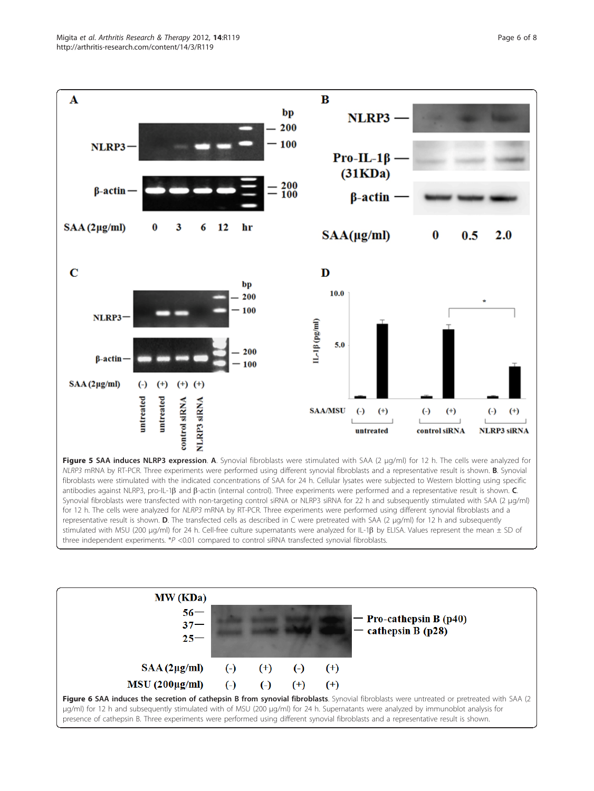<span id="page-5-0"></span>

fibroblasts were stimulated with the indicated concentrations of SAA for 24 h. Cellular lysates were subjected to Western blotting using specific antibodies against NLRP3, pro-IL-1 $\beta$  and  $\beta$ -actin (internal control). Three experiments were performed and a representative result is shown.  $C$ . Synovial fibroblasts were transfected with non-targeting control siRNA or NLRP3 siRNA for 22 h and subsequently stimulated with SAA (2 μg/ml) for 12 h. The cells were analyzed for NLRP3 mRNA by RT-PCR. Three experiments were performed using different synovial fibroblasts and a representative result is shown. D. The transfected cells as described in C were pretreated with SAA (2 μg/ml) for 12 h and subsequently stimulated with MSU (200 μg/ml) for 24 h. Cell-free culture supernatants were analyzed for IL-1b by ELISA. Values represent the mean ± SD of three independent experiments.  $*P < 0.01$  compared to control siRNA transfected synovial fibroblasts.

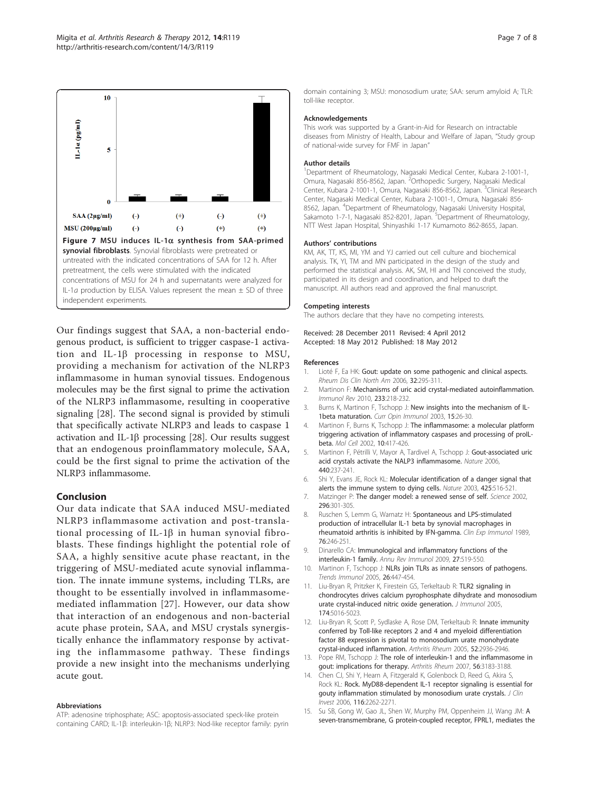<span id="page-6-0"></span>

Our findings suggest that SAA, a non-bacterial endogenous product, is sufficient to trigger caspase-1 activation and IL-1b processing in response to MSU, providing a mechanism for activation of the NLRP3 inflammasome in human synovial tissues. Endogenous molecules may be the first signal to prime the activation of the NLRP3 inflammasome, resulting in cooperative signaling [\[28](#page-7-0)]. The second signal is provided by stimuli that specifically activate NLRP3 and leads to caspase 1 activation and IL-1 $\beta$  processing [[28\]](#page-7-0). Our results suggest that an endogenous proinflammatory molecule, SAA, could be the first signal to prime the activation of the NLRP3 inflammasome.

#### Conclusion

Our data indicate that SAA induced MSU-mediated NLRP3 inflammasome activation and post-translational processing of IL-1 $\beta$  in human synovial fibroblasts. These findings highlight the potential role of SAA, a highly sensitive acute phase reactant, in the triggering of MSU-mediated acute synovial inflammation. The innate immune systems, including TLRs, are thought to be essentially involved in inflammasomemediated inflammation [[27\]](#page-7-0). However, our data show that interaction of an endogenous and non-bacterial acute phase protein, SAA, and MSU crystals synergistically enhance the inflammatory response by activating the inflammasome pathway. These findings provide a new insight into the mechanisms underlying acute gout.

#### Abbreviations

ATP: adenosine triphosphate; ASC: apoptosis-associated speck-like protein containing CARD; IL-1β: interleukin-1β; NLRP3: Nod-like receptor family: pyrin

domain containing 3; MSU: monosodium urate; SAA: serum amyloid A; TLR: toll-like receptor.

#### Acknowledgements

This work was supported by a Grant-in-Aid for Research on intractable diseases from Ministry of Health, Labour and Welfare of Japan, "Study group of national-wide survey for FMF in Japan"

#### Author details

<sup>1</sup>Department of Rheumatology, Nagasaki Medical Center, Kubara 2-1001-1 Omura, Nagasaki 856-8562, Japan. <sup>2</sup>Orthopedic Surgery, Nagasaki Medical Center, Kubara 2-1001-1, Omura, Nagasaki 856-8562, Japan. <sup>3</sup>Clinical Research Center, Nagasaki Medical Center, Kubara 2-1001-1, Omura, Nagasaki 856- 8562, Japan. <sup>4</sup>Department of Rheumatology, Nagasaki University Hospital Sakamoto 1-7-1, Nagasaki 852-8201, Japan. <sup>5</sup>Department of Rheumatology NTT West Japan Hospital, Shinyashiki 1-17 Kumamoto 862-8655, Japan.

#### Authors' contributions

KM, AK, TT, KS, MI, YM and YJ carried out cell culture and biochemical analysis. TK, YI, TM and MN participated in the design of the study and performed the statistical analysis. AK, SM, HI and TN conceived the study, participated in its design and coordination, and helped to draft the manuscript. All authors read and approved the final manuscript.

#### Competing interests

The authors declare that they have no competing interests.

Received: 28 December 2011 Revised: 4 April 2012 Accepted: 18 May 2012 Published: 18 May 2012

#### References

- 1. Lioté F, Ea HK: [Gout: update on some pathogenic and clinical aspects.](http://www.ncbi.nlm.nih.gov/pubmed/16716881?dopt=Abstract) Rheum Dis Clin North Am 2006, 32:295-311.
- 2. Martinon F: [Mechanisms of uric acid crystal-mediated autoinflammation.](http://www.ncbi.nlm.nih.gov/pubmed/20193002?dopt=Abstract) Immunol Rev 2010, 233:218-232.
- 3. Burns K, Martinon F, Tschopp J: [New insights into the mechanism of IL-](http://www.ncbi.nlm.nih.gov/pubmed/12495729?dopt=Abstract)[1beta maturation.](http://www.ncbi.nlm.nih.gov/pubmed/12495729?dopt=Abstract) Curr Opin Immunol 2003, 15:26-30.
- 4. Martinon F, Burns K, Tschopp J: [The inflammasome: a molecular platform](http://www.ncbi.nlm.nih.gov/pubmed/12191486?dopt=Abstract) triggering activation of inflammatory caspases and processing of proll[beta.](http://www.ncbi.nlm.nih.gov/pubmed/12191486?dopt=Abstract) Mol Cell 2002, 10:417-426.
- 5. Martinon F, Pétrilli V, Mayor A, Tardivel A, Tschopp J: [Gout-associated uric](http://www.ncbi.nlm.nih.gov/pubmed/16407889?dopt=Abstract) [acid crystals activate the NALP3 inflammasome.](http://www.ncbi.nlm.nih.gov/pubmed/16407889?dopt=Abstract) Nature 2006, 440:237-241.
- 6. Shi Y, Evans JE, Rock KL: [Molecular identification of a danger signal that](http://www.ncbi.nlm.nih.gov/pubmed/14520412?dopt=Abstract) [alerts the immune system to dying cells.](http://www.ncbi.nlm.nih.gov/pubmed/14520412?dopt=Abstract) Nature 2003, 425:516-521.
- 7. Matzinger P: [The danger model: a renewed sense of self.](http://www.ncbi.nlm.nih.gov/pubmed/11951032?dopt=Abstract) Science 2002, 296:301-305.
- 8. Ruschen S, Lemm G, Warnatz H: [Spontaneous and LPS-stimulated](http://www.ncbi.nlm.nih.gov/pubmed/2503278?dopt=Abstract) [production of intracellular IL-1 beta by synovial macrophages in](http://www.ncbi.nlm.nih.gov/pubmed/2503278?dopt=Abstract) [rheumatoid arthritis is inhibited by IFN-gamma.](http://www.ncbi.nlm.nih.gov/pubmed/2503278?dopt=Abstract) Clin Exp Immunol 1989, 76:246-251.
- 9. Dinarello CA: [Immunological and inflammatory functions of the](http://www.ncbi.nlm.nih.gov/pubmed/19302047?dopt=Abstract) [interleukin-1 family.](http://www.ncbi.nlm.nih.gov/pubmed/19302047?dopt=Abstract) Annu Rev Immunol 2009, 27:519-550.
- 10. Martinon F, Tschopp J: [NLRs join TLRs as innate sensors of pathogens.](http://www.ncbi.nlm.nih.gov/pubmed/15967716?dopt=Abstract) Trends Immunol 2005, 26:447-454.
- 11. Liu-Bryan R, Pritzker K, Firestein GS, Terkeltaub R: [TLR2 signaling in](http://www.ncbi.nlm.nih.gov/pubmed/15814732?dopt=Abstract) [chondrocytes drives calcium pyrophosphate dihydrate and monosodium](http://www.ncbi.nlm.nih.gov/pubmed/15814732?dopt=Abstract) [urate crystal-induced nitric oxide generation.](http://www.ncbi.nlm.nih.gov/pubmed/15814732?dopt=Abstract) J Immunol 2005, 174:5016-5023.
- 12. Liu-Bryan R, Scott P, Sydlaske A, Rose DM, Terkeltaub R: [Innate immunity](http://www.ncbi.nlm.nih.gov/pubmed/16142712?dopt=Abstract) [conferred by Toll-like receptors 2 and 4 and myeloid differentiation](http://www.ncbi.nlm.nih.gov/pubmed/16142712?dopt=Abstract) [factor 88 expression is pivotal to monosodium urate monohydrate](http://www.ncbi.nlm.nih.gov/pubmed/16142712?dopt=Abstract) [crystal-induced inflammation.](http://www.ncbi.nlm.nih.gov/pubmed/16142712?dopt=Abstract) Arthritis Rheum 2005, 52:2936-2946.
- 13. Pope RM, Tschopp J: [The role of interleukin-1 and the inflammasome in](http://www.ncbi.nlm.nih.gov/pubmed/17907163?dopt=Abstract) [gout: implications for therapy.](http://www.ncbi.nlm.nih.gov/pubmed/17907163?dopt=Abstract) Arthritis Rheum 2007, 56:3183-3188.
- 14. Chen CJ, Shi Y, Hearn A, Fitzgerald K, Golenbock D, Reed G, Akira S, Rock KL: [Rock. MyD88-dependent IL-1 receptor signaling is essential for](http://www.ncbi.nlm.nih.gov/pubmed/16886064?dopt=Abstract) [gouty inflammation stimulated by monosodium urate crystals.](http://www.ncbi.nlm.nih.gov/pubmed/16886064?dopt=Abstract) J Clin Invest 2006, 116:2262-2271.
- 15. Su SB, Gong W, Gao JL, Shen W, Murphy PM, Oppenheim JJ, Wang JM: [A](http://www.ncbi.nlm.nih.gov/pubmed/9892621?dopt=Abstract) [seven-transmembrane, G protein-coupled receptor, FPRL1, mediates the](http://www.ncbi.nlm.nih.gov/pubmed/9892621?dopt=Abstract)